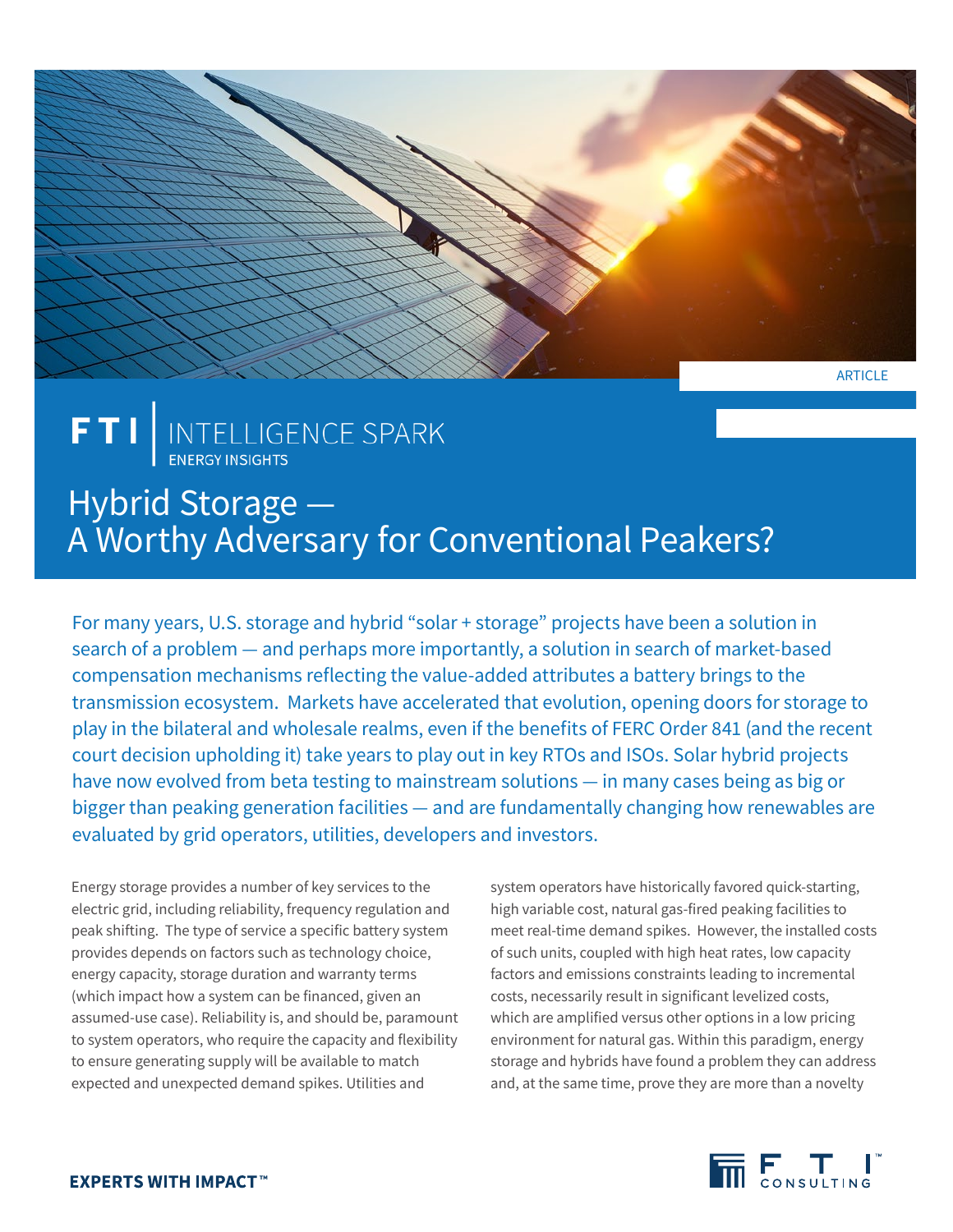

# FTI | INTELLIGENCE SPARK

## Hybrid Storage — A Worthy Adversary for Conventional Peakers?

For many years, U.S. storage and hybrid "solar + storage" projects have been a solution in search of a problem — and perhaps more importantly, a solution in search of market-based compensation mechanisms reflecting the value-added attributes a battery brings to the transmission ecosystem. Markets have accelerated that evolution, opening doors for storage to play in the bilateral and wholesale realms, even if the benefits of FERC Order 841 (and the recent court decision upholding it) take years to play out in key RTOs and ISOs. Solar hybrid projects have now evolved from beta testing to mainstream solutions — in many cases being as big or bigger than peaking generation facilities — and are fundamentally changing how renewables are evaluated by grid operators, utilities, developers and investors.

Energy storage provides a number of key services to the electric grid, including reliability, frequency regulation and peak shifting. The type of service a specific battery system provides depends on factors such as technology choice, energy capacity, storage duration and warranty terms (which impact how a system can be financed, given an assumed-use case). Reliability is, and should be, paramount to system operators, who require the capacity and flexibility to ensure generating supply will be available to match expected and unexpected demand spikes. Utilities and

system operators have historically favored quick-starting, high variable cost, natural gas-fired peaking facilities to meet real-time demand spikes. However, the installed costs of such units, coupled with high heat rates, low capacity factors and emissions constraints leading to incremental costs, necessarily result in significant levelized costs, which are amplified versus other options in a low pricing environment for natural gas. Within this paradigm, energy storage and hybrids have found a problem they can address and, at the same time, prove they are more than a novelty

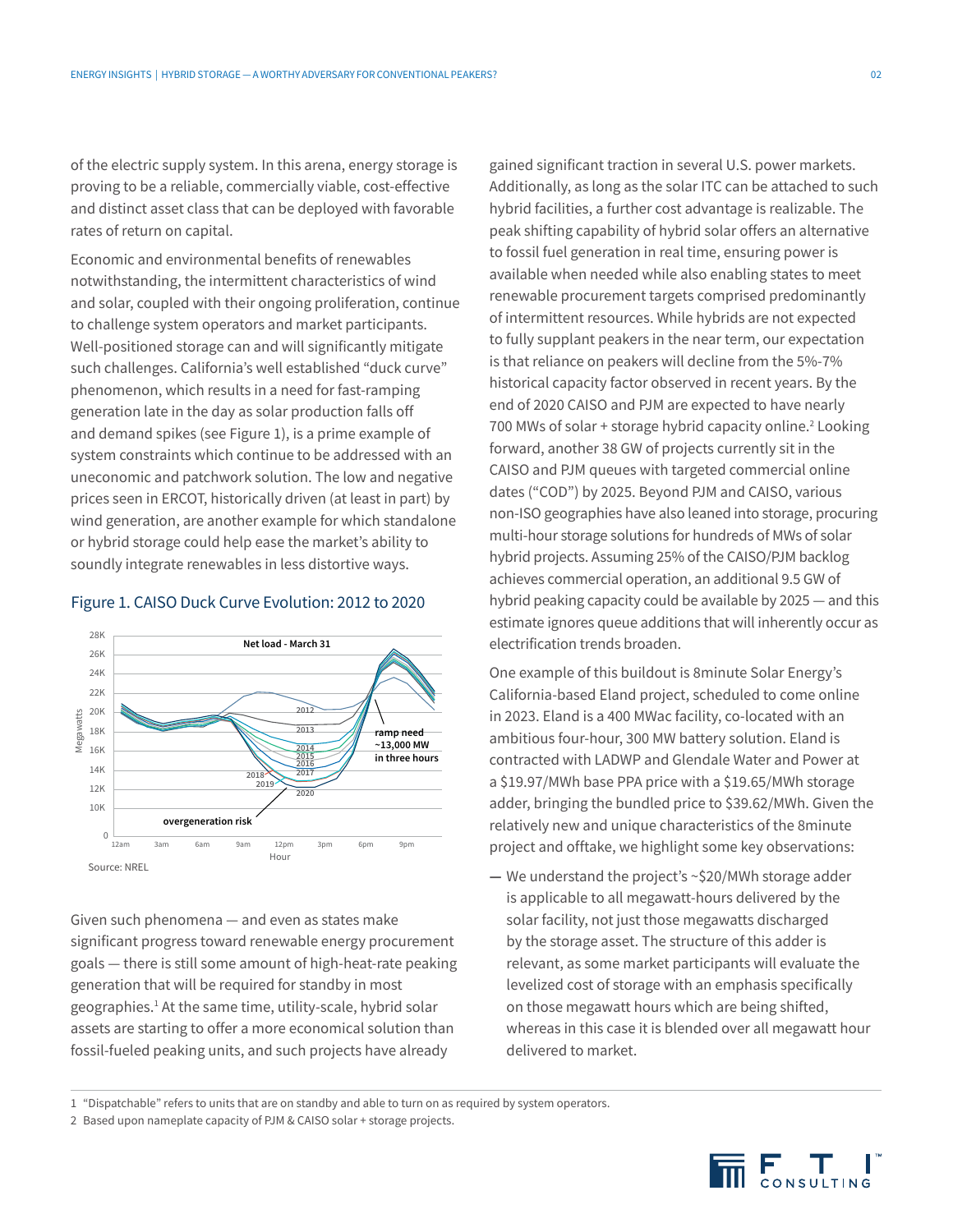of the electric supply system. In this arena, energy storage is proving to be a reliable, commercially viable, cost-effective and distinct asset class that can be deployed with favorable rates of return on capital.

Economic and environmental benefits of renewables notwithstanding, the intermittent characteristics of wind and solar, coupled with their ongoing proliferation, continue to challenge system operators and market participants. Well-positioned storage can and will significantly mitigate such challenges. California's well established "duck curve" phenomenon, which results in a need for fast-ramping generation late in the day as solar production falls off and demand spikes (see Figure 1), is a prime example of system constraints which continue to be addressed with an uneconomic and patchwork solution. The low and negative prices seen in ERCOT, historically driven (at least in part) by wind generation, are another example for which standalone or hybrid storage could help ease the market's ability to soundly integrate renewables in less distortive ways.

#### Figure 1. CAISO Duck Curve Evolution: 2012 to 2020



Given such phenomena — and even as states make significant progress toward renewable energy procurement goals — there is still some amount of high-heat-rate peaking generation that will be required for standby in most geographies.<sup>1</sup> At the same time, utility-scale, hybrid solar assets are starting to offer a more economical solution than fossil-fueled peaking units, and such projects have already

gained significant traction in several U.S. power markets. Additionally, as long as the solar ITC can be attached to such hybrid facilities, a further cost advantage is realizable. The peak shifting capability of hybrid solar offers an alternative to fossil fuel generation in real time, ensuring power is available when needed while also enabling states to meet renewable procurement targets comprised predominantly of intermittent resources. While hybrids are not expected to fully supplant peakers in the near term, our expectation is that reliance on peakers will decline from the 5%-7% historical capacity factor observed in recent years. By the end of 2020 CAISO and PJM are expected to have nearly 700 MWs of solar + storage hybrid capacity online.<sup>2</sup> Looking forward, another 38 GW of projects currently sit in the CAISO and PJM queues with targeted commercial online dates ("COD") by 2025. Beyond PJM and CAISO, various non-ISO geographies have also leaned into storage, procuring multi-hour storage solutions for hundreds of MWs of solar hybrid projects. Assuming 25% of the CAISO/PJM backlog achieves commercial operation, an additional 9.5 GW of hybrid peaking capacity could be available by 2025 — and this estimate ignores queue additions that will inherently occur as electrification trends broaden.

One example of this buildout is 8minute Solar Energy's California-based Eland project, scheduled to come online in 2023. Eland is a 400 MWac facility, co-located with an ambitious four-hour, 300 MW battery solution. Eland is contracted with LADWP and Glendale Water and Power at a \$19.97/MWh base PPA price with a \$19.65/MWh storage adder, bringing the bundled price to \$39.62/MWh. Given the relatively new and unique characteristics of the 8minute project and offtake, we highlight some key observations:

**—** We understand the project's ~\$20/MWh storage adder is applicable to all megawatt-hours delivered by the solar facility, not just those megawatts discharged by the storage asset. The structure of this adder is relevant, as some market participants will evaluate the levelized cost of storage with an emphasis specifically on those megawatt hours which are being shifted, whereas in this case it is blended over all megawatt hour delivered to market.

1 "Dispatchable" refers to units that are on standby and able to turn on as required by system operators.

2 Based upon nameplate capacity of PJM & CAISO solar + storage projects.

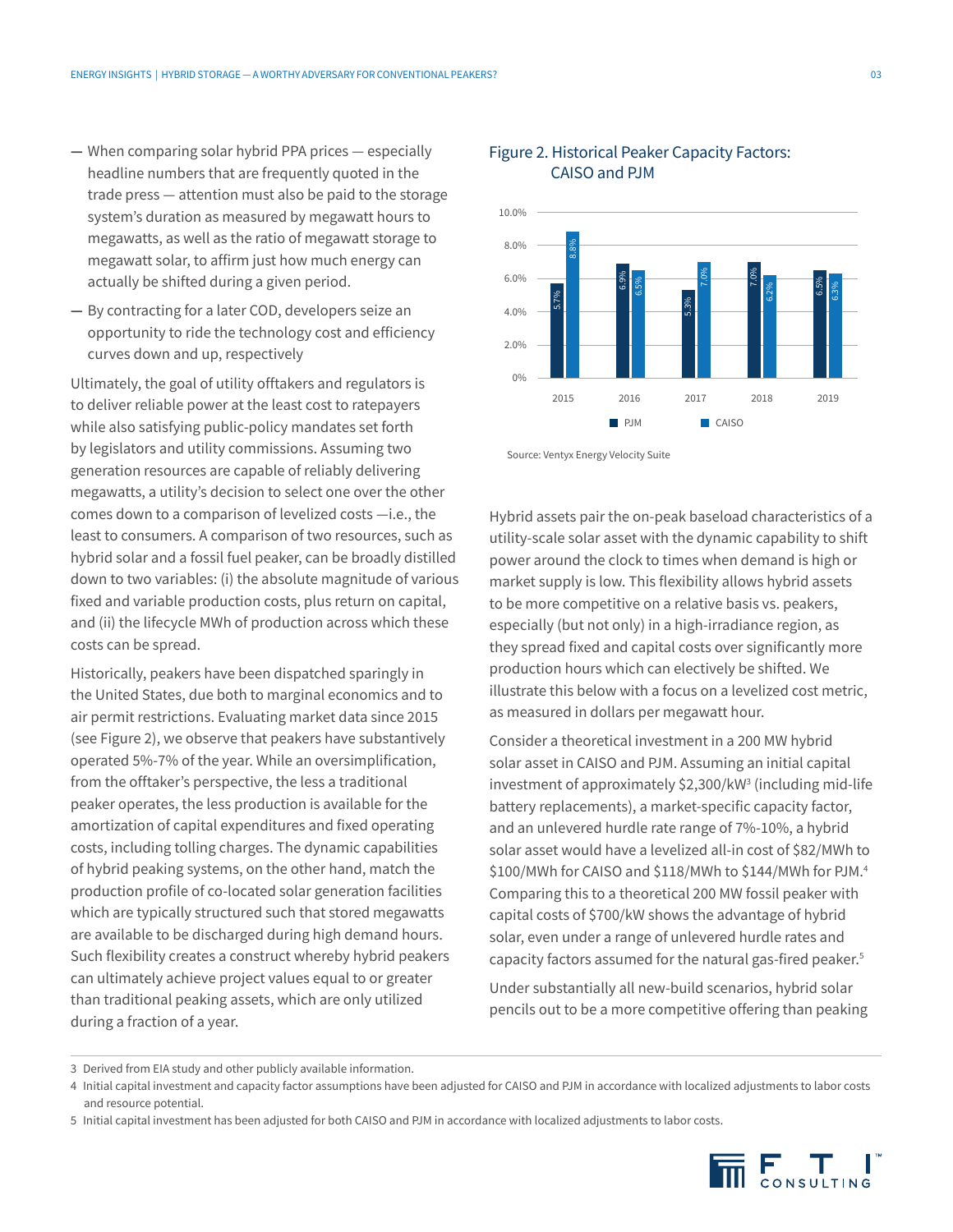- **—** When comparing solar hybrid PPA prices especially headline numbers that are frequently quoted in the trade press — attention must also be paid to the storage system's duration as measured by megawatt hours to megawatts, as well as the ratio of megawatt storage to megawatt solar, to affirm just how much energy can actually be shifted during a given period.
- **—** By contracting for a later COD, developers seize an opportunity to ride the technology cost and efficiency curves down and up, respectively

Ultimately, the goal of utility offtakers and regulators is to deliver reliable power at the least cost to ratepayers while also satisfying public-policy mandates set forth by legislators and utility commissions. Assuming two generation resources are capable of reliably delivering megawatts, a utility's decision to select one over the other comes down to a comparison of levelized costs —i.e., the least to consumers. A comparison of two resources, such as hybrid solar and a fossil fuel peaker, can be broadly distilled down to two variables: (i) the absolute magnitude of various fixed and variable production costs, plus return on capital, and (ii) the lifecycle MWh of production across which these costs can be spread.

Historically, peakers have been dispatched sparingly in the United States, due both to marginal economics and to air permit restrictions. Evaluating market data since 2015 (see Figure 2), we observe that peakers have substantively operated 5%-7% of the year. While an oversimplification, from the offtaker's perspective, the less a traditional peaker operates, the less production is available for the amortization of capital expenditures and fixed operating costs, including tolling charges. The dynamic capabilities of hybrid peaking systems, on the other hand, match the production profile of co-located solar generation facilities which are typically structured such that stored megawatts are available to be discharged during high demand hours. Such flexibility creates a construct whereby hybrid peakers can ultimately achieve project values equal to or greater than traditional peaking assets, which are only utilized during a fraction of a year.



#### Figure 2. Historical Peaker Capacity Factors: CAISO and PJM

2015

2.0%

 $0%$ 

Hybrid assets pair the on-peak baseload characteristics of a utility-scale solar asset with the dynamic capability to shift power around the clock to times when demand is high or market supply is low. This flexibility allows hybrid assets to be more competitive on a relative basis vs. peakers, especially (but not only) in a high-irradiance region, as they spread fixed and capital costs over significantly more production hours which can electively be shifted. We illustrate this below with a focus on a levelized cost metric, as measured in dollars per megawatt hour.

**PJM** CAISO

2016 2017 2018 2019

Consider a theoretical investment in a 200 MW hybrid solar asset in CAISO and PJM. Assuming an initial capital investment of approximately \$2,300/kW3 (including mid-life battery replacements), a market-specific capacity factor, and an unlevered hurdle rate range of 7%-10%, a hybrid solar asset would have a levelized all-in cost of \$82/MWh to \$100/MWh for CAISO and \$118/MWh to \$144/MWh for PJM.4 Comparing this to a theoretical 200 MW fossil peaker with capital costs of \$700/kW shows the advantage of hybrid solar, even under a range of unlevered hurdle rates and capacity factors assumed for the natural gas-fired peaker.<sup>5</sup>

Under substantially all new-build scenarios, hybrid solar pencils out to be a more competitive offering than peaking

5 Initial capital investment has been adjusted for both CAISO and PJM in accordance with localized adjustments to labor costs.



Source: Ventyx Energy Velocity Suite

<sup>3</sup> Derived from EIA study and other publicly available information.

<sup>4</sup> Initial capital investment and capacity factor assumptions have been adjusted for CAISO and PJM in accordance with localized adjustments to labor costs and resource potential.